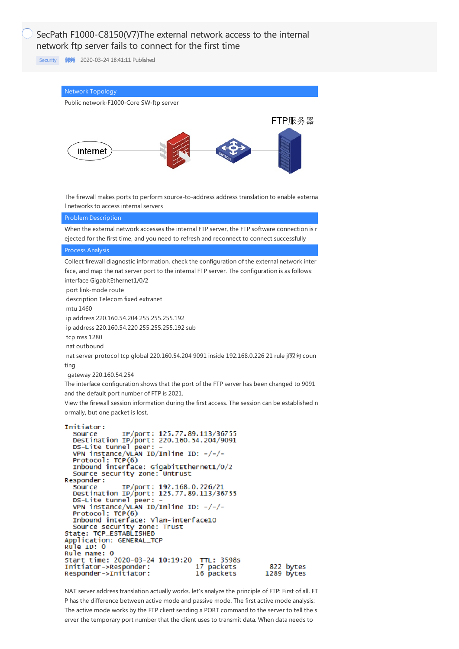## SecPath F1000-C8150(V7)The external network access to the internal network ftp server fails to connect for the first time

[Security](https://knowledge.h3c.com/questions/catesDis/1533) **[郭尧](https://knowledge.h3c.com/user/other/5)** 2020-03-24 18:41:11 Published



NAT server address translation actually works, let's analyze the principle of FTP: First of all, FT P has the difference between active mode and passive mode. The first active mode analysis: The active mode works by the FTP client sending a PORT command to the server to tell the s erver the temporary port number that the client uses to transmit data. When data needs to

Responder->Initiator:

16 packets

1289 bytes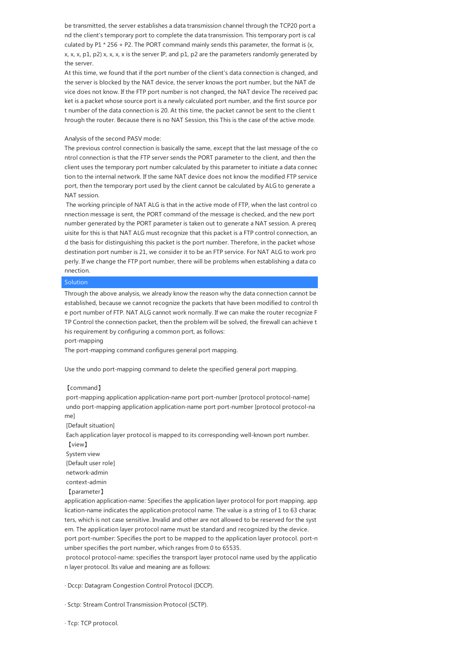be transmitted, the server establishes a data transmission channel through the TCP20 port a nd the client's temporary port to complete the data transmission. This temporary port is cal culated by P1  $*$  256 + P2. The PORT command mainly sends this parameter, the format is  $(x,$  $x, x, x, p1, p2$ ) x, x, x, x is the server IP, and p1, p2 are the parameters randomly generated by the server.

At this time, we found that if the port number of the client's data connection is changed, and the server is blocked by the NAT device, the server knows the port number, but the NAT de vice does not know. If the FTP port number is not changed, the NAT device The received pac ket is a packet whose source port is a newly calculated port number, and the first source por t number of the data connection is 20. At this time, the packet cannot be sent to the client t hrough the router. Because there is no NAT Session, this This is the case of the active mode.

## Analysis of the second PASV mode:

The previous control connection is basically the same, except that the last message of the co ntrol connection is that the FTP server sends the PORT parameter to the client, and then the client uses the temporary port number calculated by this parameter to initiate a data connec tion to the internal network. If the same NAT device does not know the modified FTP service port, then the temporary port used by the client cannot be calculated by ALG to generate a NAT session.

The working principle of NAT ALG is that in the active mode of FTP, when the last control co nnection message is sent, the PORT command of the message is checked, and the new port number generated by the PORT parameter is taken out to generate a NAT session. A prereq uisite for this is that NAT ALG must recognize that this packet is a FTP control connection, an d the basis for distinguishing this packet is the port number. Therefore, in the packet whose destination port number is 21, we consider it to be an FTP service. For NAT ALG to work pro perly. If we change the FTP port number, there will be problems when establishing a data co nnection.

## Solution

Through the above analysis, we already know the reason why the data connection cannot be established, because we cannot recognize the packets that have been modified to control th e port number of FTP. NAT ALG cannot work normally. If we can make the router recognize F TP Control the connection packet, then the problem will be solved, the firewall can achieve t his requirement by configuring a common port, as follows:

port-mapping

The port-mapping command configures general port mapping.

Use the undo port-mapping command to delete the specified general port mapping.

## 【command】

port-mapping application application-name port port-number [protocol protocol-name] undo port-mapping application application-name port port-number [protocol protocol-na me]

[Default situation]

Each application layer protocol is mapped to its corresponding well-known port number. 【view】

System view [Default user role]

network-admin

context-admin

【parameter】

application application-name: Specifies the application layer protocol for port mapping. app lication-name indicates the application protocol name. The value is a string of 1 to 63 charac ters, which is not case sensitive. Invalid and other are not allowed to be reserved for the syst em. The application layer protocol name must be standard and recognized by the device. port port-number: Specifies the port to be mapped to the application layer protocol. port-n

umber specifies the port number, which ranges from 0 to 65535.

protocol protocol-name: specifies the transport layer protocol name used by the applicatio n layer protocol. Its value and meaning are as follows:

· Dccp: Datagram Congestion Control Protocol (DCCP).

· Sctp: Stream Control Transmission Protocol (SCTP).

· Tcp: TCP protocol.